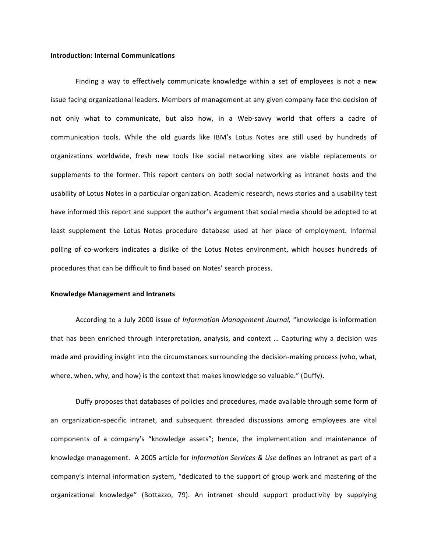## **Introduction: Internal Communications**

Finding a way to effectively communicate knowledge within a set of employees is not a new issue facing organizational leaders. Members of management at any given company face the decision of not only what to communicate, but also how, in a Web-savvy world that offers a cadre of communication tools. While the old guards like IBM's Lotus Notes are still used by hundreds of organizations worldwide, fresh new tools like social networking sites are viable replacements or supplements to the former. This report centers on both social networking as intranet hosts and the usability of Lotus Notes in a particular organization. Academic research, news stories and a usability test have informed this report and support the author's argument that social media should be adopted to at least supplement the Lotus Notes procedure database used at her place of employment. Informal polling of co-workers indicates a dislike of the Lotus Notes environment, which houses hundreds of procedures that can be difficult to find based on Notes' search process.

#### **Knowledge Management and Intranets**

According to a July 2000 issue of *Information Management Journal*, "knowledge is information that has been enriched through interpretation, analysis, and context ... Capturing why a decision was made and providing insight into the circumstances surrounding the decision-making process (who, what, where, when, why, and how) is the context that makes knowledge so valuable." (Duffy).

Duffy proposes that databases of policies and procedures, made available through some form of an organization-specific intranet, and subsequent threaded discussions among employees are vital components of a company's "knowledge assets"; hence, the implementation and maintenance of knowledge management. A 2005 article for *Information Services & Use* defines an Intranet as part of a company's internal information system, "dedicated to the support of group work and mastering of the organizational knowledge" (Bottazzo, 79). An intranet should support productivity by supplying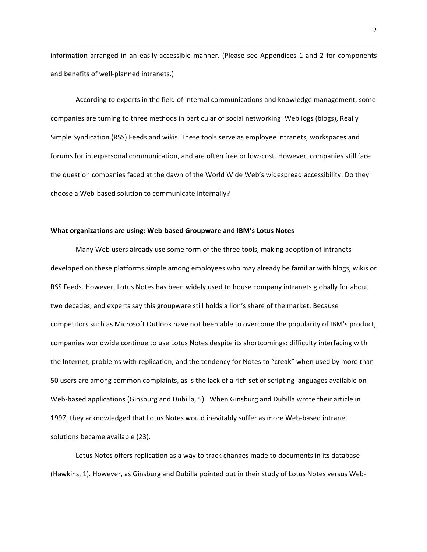information arranged in an easily-accessible manner. (Please see Appendices 1 and 2 for components and benefits of well-planned intranets.)

According to experts in the field of internal communications and knowledge management, some companies are turning to three methods in particular of social networking: Web logs (blogs), Really Simple Syndication (RSS) Feeds and wikis. These tools serve as employee intranets, workspaces and forums for interpersonal communication, and are often free or low-cost. However, companies still face the question companies faced at the dawn of the World Wide Web's widespread accessibility: Do they choose a Web-based solution to communicate internally?

# **What organizations are using: Web-based Groupware and IBM's Lotus Notes**

Many Web users already use some form of the three tools, making adoption of intranets developed on these platforms simple among employees who may already be familiar with blogs, wikis or RSS Feeds. However, Lotus Notes has been widely used to house company intranets globally for about two decades, and experts say this groupware still holds a lion's share of the market. Because competitors such as Microsoft Outlook have not been able to overcome the popularity of IBM's product, companies worldwide continue to use Lotus Notes despite its shortcomings: difficulty interfacing with the Internet, problems with replication, and the tendency for Notes to "creak" when used by more than 50 users are among common complaints, as is the lack of a rich set of scripting languages available on Web-based applications (Ginsburg and Dubilla, 5). When Ginsburg and Dubilla wrote their article in 1997, they acknowledged that Lotus Notes would inevitably suffer as more Web-based intranet solutions became available (23).

Lotus Notes offers replication as a way to track changes made to documents in its database (Hawkins, 1). However, as Ginsburg and Dubilla pointed out in their study of Lotus Notes versus Web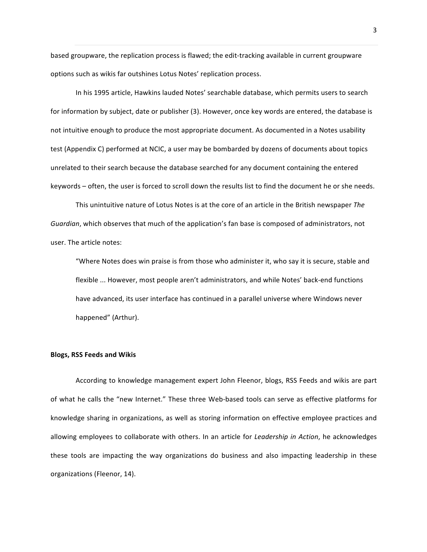based groupware, the replication process is flawed; the edit-tracking available in current groupware options such as wikis far outshines Lotus Notes' replication process.

In his 1995 article, Hawkins lauded Notes' searchable database, which permits users to search for information by subject, date or publisher (3). However, once key words are entered, the database is not intuitive enough to produce the most appropriate document. As documented in a Notes usability test (Appendix C) performed at NCIC, a user may be bombarded by dozens of documents about topics unrelated to their search because the database searched for any document containing the entered keywords – often, the user is forced to scroll down the results list to find the document he or she needs.

This unintuitive nature of Lotus Notes is at the core of an article in the British newspaper *The Guardian*, which observes that much of the application's fan base is composed of administrators, not user. The article notes:

"Where Notes does win praise is from those who administer it, who say it is secure, stable and flexible ... However, most people aren't administrators, and while Notes' back-end functions have advanced, its user interface has continued in a parallel universe where Windows never happened" (Arthur).

#### **Blogs, RSS Feeds and Wikis**

According to knowledge management expert John Fleenor, blogs, RSS Feeds and wikis are part of what he calls the "new Internet." These three Web-based tools can serve as effective platforms for knowledge sharing in organizations, as well as storing information on effective employee practices and allowing employees to collaborate with others. In an article for *Leadership in Action*, he acknowledges these tools are impacting the way organizations do business and also impacting leadership in these organizations (Fleenor, 14).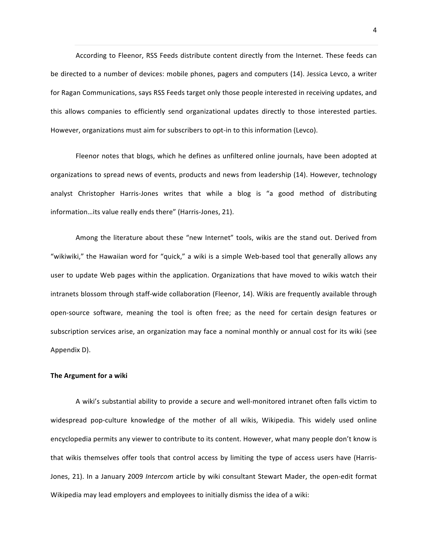According to Fleenor, RSS Feeds distribute content directly from the Internet. These feeds can be directed to a number of devices: mobile phones, pagers and computers (14). Jessica Levco, a writer for Ragan Communications, says RSS Feeds target only those people interested in receiving updates, and this allows companies to efficiently send organizational updates directly to those interested parties. However, organizations must aim for subscribers to opt-in to this information (Levco).

Fleenor notes that blogs, which he defines as unfiltered online journals, have been adopted at organizations to spread news of events, products and news from leadership (14). However, technology analyst Christopher Harris-Jones writes that while a blog is "a good method of distributing information...its value really ends there" (Harris-Jones, 21).

Among the literature about these "new Internet" tools, wikis are the stand out. Derived from "wikiwiki," the Hawaiian word for "quick," a wiki is a simple Web-based tool that generally allows any user to update Web pages within the application. Organizations that have moved to wikis watch their intranets blossom through staff-wide collaboration (Fleenor, 14). Wikis are frequently available through open-source software, meaning the tool is often free; as the need for certain design features or subscription services arise, an organization may face a nominal monthly or annual cost for its wiki (see Appendix D).

### **The Argument for a wiki**

A wiki's substantial ability to provide a secure and well-monitored intranet often falls victim to widespread pop-culture knowledge of the mother of all wikis, Wikipedia. This widely used online encyclopedia permits any viewer to contribute to its content. However, what many people don't know is that wikis themselves offer tools that control access by limiting the type of access users have (Harris-Jones, 21). In a January 2009 Intercom article by wiki consultant Stewart Mader, the open-edit format Wikipedia may lead employers and employees to initially dismiss the idea of a wiki: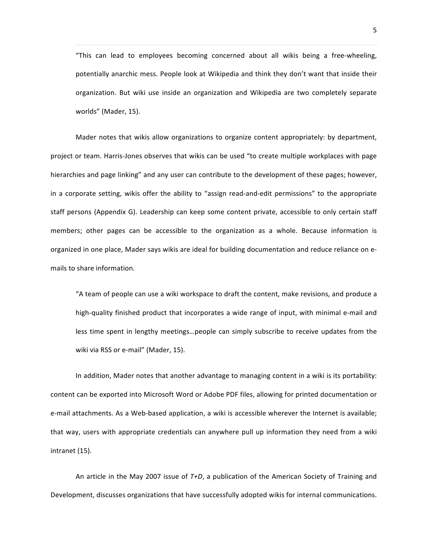"This can lead to employees becoming concerned about all wikis being a free-wheeling, potentially anarchic mess. People look at Wikipedia and think they don't want that inside their organization. But wiki use inside an organization and Wikipedia are two completely separate worlds" (Mader, 15).

Mader notes that wikis allow organizations to organize content appropriately: by department, project or team. Harris-Jones observes that wikis can be used "to create multiple workplaces with page hierarchies and page linking" and any user can contribute to the development of these pages; however, in a corporate setting, wikis offer the ability to "assign read-and-edit permissions" to the appropriate staff persons (Appendix G). Leadership can keep some content private, accessible to only certain staff members; other pages can be accessible to the organization as a whole. Because information is organized in one place, Mader says wikis are ideal for building documentation and reduce reliance on emails to share information.

"A team of people can use a wiki workspace to draft the content, make revisions, and produce a high-quality finished product that incorporates a wide range of input, with minimal e-mail and less time spent in lengthy meetings...people can simply subscribe to receive updates from the wiki via RSS or e-mail" (Mader, 15).

In addition, Mader notes that another advantage to managing content in a wiki is its portability: content can be exported into Microsoft Word or Adobe PDF files, allowing for printed documentation or e-mail attachments. As a Web-based application, a wiki is accessible wherever the Internet is available; that way, users with appropriate credentials can anywhere pull up information they need from a wiki intranet (15).

An article in the May 2007 issue of  $T+D$ , a publication of the American Society of Training and Development, discusses organizations that have successfully adopted wikis for internal communications.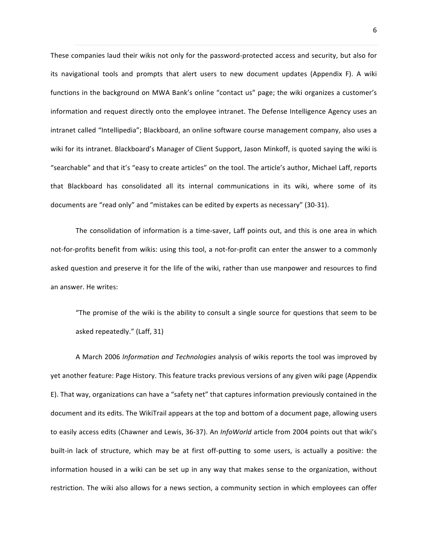These companies laud their wikis not only for the password-protected access and security, but also for its navigational tools and prompts that alert users to new document updates (Appendix F). A wiki functions in the background on MWA Bank's online "contact us" page; the wiki organizes a customer's information and request directly onto the employee intranet. The Defense Intelligence Agency uses an intranet called "Intellipedia"; Blackboard, an online software course management company, also uses a wiki for its intranet. Blackboard's Manager of Client Support, Jason Minkoff, is quoted saying the wiki is "searchable" and that it's "easy to create articles" on the tool. The article's author, Michael Laff, reports that Blackboard has consolidated all its internal communications in its wiki, where some of its documents are "read only" and "mistakes can be edited by experts as necessary" (30-31).

The consolidation of information is a time-saver, Laff points out, and this is one area in which not-for-profits benefit from wikis: using this tool, a not-for-profit can enter the answer to a commonly asked question and preserve it for the life of the wiki, rather than use manpower and resources to find an answer. He writes:

"The promise of the wiki is the ability to consult a single source for questions that seem to be asked repeatedly." (Laff, 31)

A March 2006 *Information and Technologies* analysis of wikis reports the tool was improved by yet another feature: Page History. This feature tracks previous versions of any given wiki page (Appendix E). That way, organizations can have a "safety net" that captures information previously contained in the document and its edits. The WikiTrail appears at the top and bottom of a document page, allowing users to easily access edits (Chawner and Lewis, 36-37). An *InfoWorld* article from 2004 points out that wiki's built-in lack of structure, which may be at first off-putting to some users, is actually a positive: the information housed in a wiki can be set up in any way that makes sense to the organization, without restriction. The wiki also allows for a news section, a community section in which employees can offer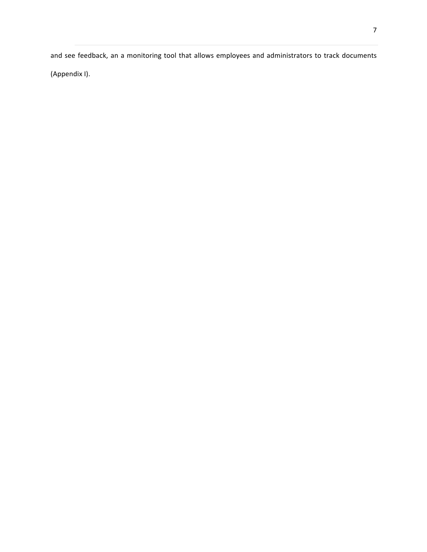and see feedback, an a monitoring tool that allows employees and administrators to track documents (Appendix I).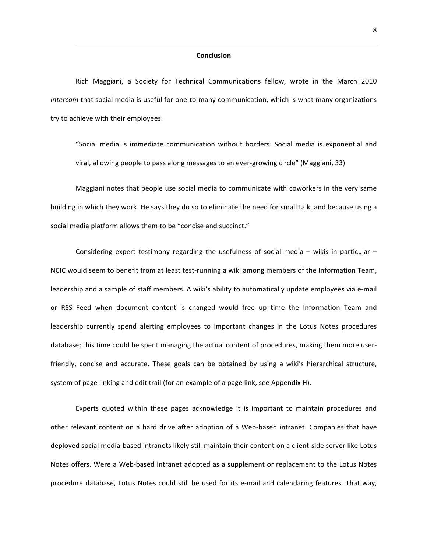### **Conclusion**

Rich Maggiani, a Society for Technical Communications fellow, wrote in the March 2010 *Intercom* that social media is useful for one-to-many communication, which is what many organizations try to achieve with their employees.

"Social media is immediate communication without borders. Social media is exponential and viral, allowing people to pass along messages to an ever-growing circle" (Maggiani, 33)

Maggiani notes that people use social media to communicate with coworkers in the very same building in which they work. He says they do so to eliminate the need for small talk, and because using a social media platform allows them to be "concise and succinct."

Considering expert testimony regarding the usefulness of social media  $-$  wikis in particular  $-$ NCIC would seem to benefit from at least test-running a wiki among members of the Information Team, leadership and a sample of staff members. A wiki's ability to automatically update employees via e-mail or RSS Feed when document content is changed would free up time the Information Team and leadership currently spend alerting employees to important changes in the Lotus Notes procedures database; this time could be spent managing the actual content of procedures, making them more userfriendly, concise and accurate. These goals can be obtained by using a wiki's hierarchical structure, system of page linking and edit trail (for an example of a page link, see Appendix H).

Experts quoted within these pages acknowledge it is important to maintain procedures and other relevant content on a hard drive after adoption of a Web-based intranet. Companies that have deployed social media-based intranets likely still maintain their content on a client-side server like Lotus Notes offers. Were a Web-based intranet adopted as a supplement or replacement to the Lotus Notes procedure database, Lotus Notes could still be used for its e-mail and calendaring features. That way,